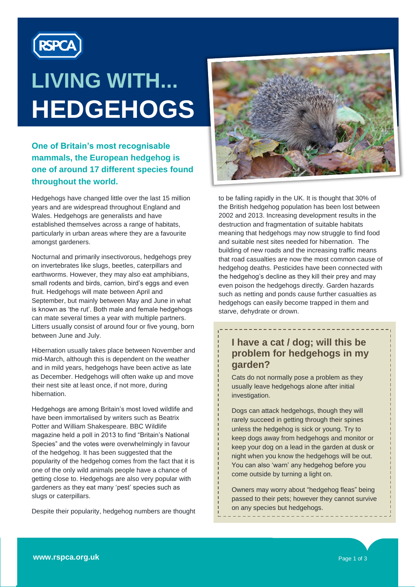

# **LIVING WITH... HEDGEHOGS**

### **One of Britain's most recognisable mammals, the European hedgehog is one of around 17 different species found throughout the world.**

Hedgehogs have changed little over the last 15 million years and are widespread throughout England and Wales. Hedgehogs are generalists and have established themselves across a range of habitats, particularly in urban areas where they are a favourite amongst gardeners.

Nocturnal and primarily insectivorous, hedgehogs prey on invertebrates like slugs, beetles, caterpillars and earthworms. However, they may also eat amphibians, small rodents and birds, carrion, bird's eggs and even fruit. Hedgehogs will mate between April and September, but mainly between May and June in what is known as 'the rut'. Both male and female hedgehogs can mate several times a year with multiple partners. Litters usually consist of around four or five young, born between June and July.

Hibernation usually takes place between November and mid-March, although this is dependent on the weather and in mild years, hedgehogs have been active as late as December. Hedgehogs will often wake up and move their nest site at least once, if not more, during hibernation.

Hedgehogs are among Britain"s most loved wildlife and have been immortalised by writers such as Beatrix Potter and William Shakespeare. BBC Wildlife magazine held a poll in 2013 to find "Britain"s National Species" and the votes were overwhelmingly in favour of the hedgehog. It has been suggested that the popularity of the hedgehog comes from the fact that it is one of the only wild animals people have a chance of getting close to. Hedgehogs are also very popular with gardeners as they eat many 'pest' species such as slugs or caterpillars.

Despite their popularity, hedgehog numbers are thought



to be falling rapidly in the UK. It is thought that 30% of the British hedgehog population has been lost between 2002 and 2013. Increasing development results in the destruction and fragmentation of suitable habitats meaning that hedgehogs may now struggle to find food and suitable nest sites needed for hibernation. The building of new roads and the increasing traffic means that road casualties are now the most common cause of hedgehog deaths. Pesticides have been connected with the hedgehog's decline as they kill their prey and may even poison the hedgehogs directly. Garden hazards such as netting and ponds cause further casualties as hedgehogs can easily become trapped in them and starve, dehydrate or drown.

# **I have a cat / dog; will this be problem for hedgehogs in my garden?**

Cats do not normally pose a problem as they usually leave hedgehogs alone after initial investigation.

Dogs can attack hedgehogs, though they will rarely succeed in getting through their spines unless the hedgehog is sick or young. Try to keep dogs away from hedgehogs and monitor or keep your dog on a lead in the garden at dusk or night when you know the hedgehogs will be out. You can also "warn" any hedgehog before you come outside by turning a light on.

Owners may worry about "hedgehog fleas" being passed to their pets; however they cannot survive on any species but hedgehogs.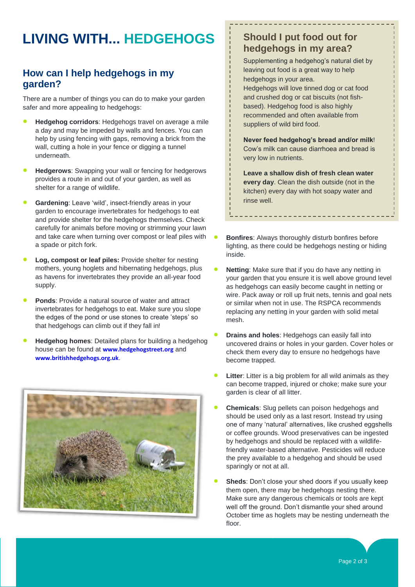# **LIVING WITH... HEDGEHOGS**

## **How can I help hedgehogs in my garden?**

There are a number of things you can do to make your garden safer and more appealing to hedgehogs:

- **Hedgehog corridors**: Hedgehogs travel on average a mile a day and may be impeded by walls and fences. You can help by using fencing with gaps, removing a brick from the wall, cutting a hole in your fence or digging a tunnel underneath.
- **Hedgerows**: Swapping your wall or fencing for hedgerows provides a route in and out of your garden, as well as shelter for a range of wildlife.
- **Gardening**: Leave 'wild', insect-friendly areas in your garden to encourage invertebrates for hedgehogs to eat and provide shelter for the hedgehogs themselves. Check carefully for animals before moving or strimming your lawn and take care when turning over compost or leaf piles with a spade or pitch fork.
- **Log, compost or leaf piles:** Provide shelter for nesting mothers, young hoglets and hibernating hedgehogs, plus as havens for invertebrates they provide an all-year food supply.
- **Ponds**: Provide a natural source of water and attract invertebrates for hedgehogs to eat. Make sure you slope the edges of the pond or use stones to create "steps" so that hedgehogs can climb out if they fall in!
- **Hedgehog homes**: Detailed plans for building a hedgehog house can be found at **[www.hedgehogstreet.org](http://www.hedgehogstreet.org/)** and **[www.britishhedgehogs.org.uk](http://www.britishhedgehogs.org.uk/)**.



## **Should I put food out for hedgehogs in my area?**

Supplementing a hedgehog's natural diet by leaving out food is a great way to help hedgehogs in your area. Hedgehogs will love tinned dog or cat food and crushed dog or cat biscuits (not fishbased). Hedgehog food is also highly recommended and often available from suppliers of wild bird food.

**Never feed hedgehog's bread and/or milk**! Cow"s milk can cause diarrhoea and bread is very low in nutrients.

**Leave a shallow dish of fresh clean water every day**. Clean the dish outside (not in the kitchen) every day with hot soapy water and rinse well.

- **Bonfires**: Always thoroughly disturb bonfires before lighting, as there could be hedgehogs nesting or hiding inside.
- **Netting**: Make sure that if you do have any netting in your garden that you ensure it is well above ground level as hedgehogs can easily become caught in netting or wire. Pack away or roll up fruit nets, tennis and goal nets or similar when not in use. The RSPCA recommends replacing any netting in your garden with solid metal mesh.
- **Drains and holes**: Hedgehogs can easily fall into uncovered drains or holes in your garden. Cover holes or check them every day to ensure no hedgehogs have become trapped.
- **Litter**: Litter is a big problem for all wild animals as they can become trapped, injured or choke; make sure your garden is clear of all litter.
- **Chemicals**: Slug pellets can poison hedgehogs and should be used only as a last resort. Instead try using one of many "natural" alternatives, like crushed eggshells or coffee grounds. Wood preservatives can be ingested by hedgehogs and should be replaced with a wildlifefriendly water-based alternative. Pesticides will reduce the prey available to a hedgehog and should be used sparingly or not at all.
- **Sheds**: Don't close your shed doors if you usually keep them open, there may be hedgehogs nesting there. Make sure any dangerous chemicals or tools are kept well off the ground. Don't dismantle your shed around October time as hoglets may be nesting underneath the floor.